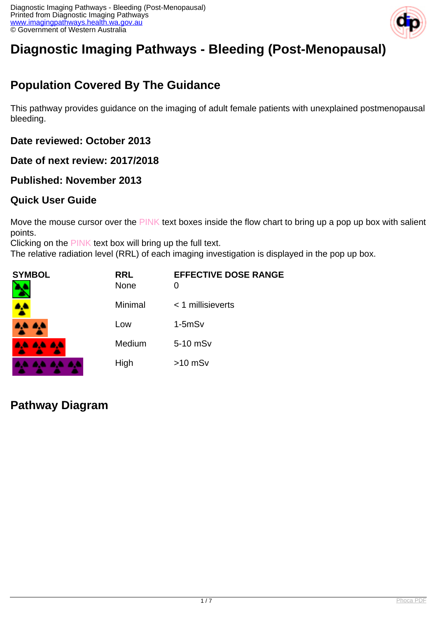

# **Diagnostic Imaging Pathways - Bleeding (Post-Menopausal)**

# **Population Covered By The Guidance**

This pathway provides guidance on the imaging of adult female patients with unexplained postmenopausal bleeding.

**Date reviewed: October 2013**

**Date of next review: 2017/2018**

#### **Published: November 2013**

#### **Quick User Guide**

Move the mouse cursor over the PINK text boxes inside the flow chart to bring up a pop up box with salient points.

Clicking on the PINK text box will bring up the full text.

The relative radiation level (RRL) of each imaging investigation is displayed in the pop up box.

| SYMBOL        | <b>RRL</b><br><b>None</b> | <b>EFFECTIVE DOSE RANGE</b><br>0 |
|---------------|---------------------------|----------------------------------|
| 4             | Minimal                   | $<$ 1 millisieverts              |
| 4,4 4,4       | Low                       | $1-5mSv$                         |
| 8.4 A.A. A.A. | Medium                    | 5-10 mSv                         |
|               | High                      | $>10$ mSv                        |

**Pathway Diagram**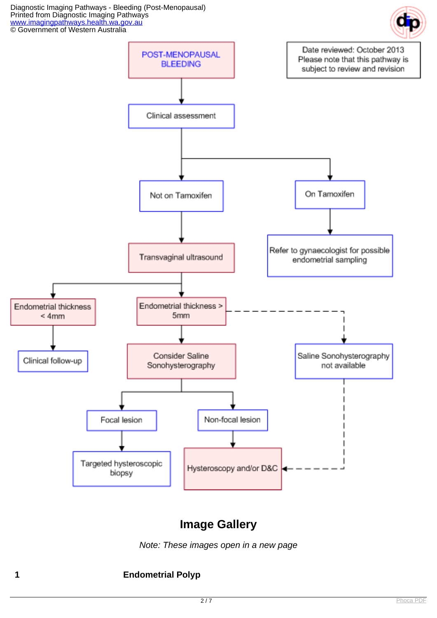Diagnostic Imaging Pathways - Bleeding (Post-Menopausal) Printed from Diagnostic Imaging Pathways [www.imagingpathways.health.wa.gov.au](http://www.imagingpathways.health.wa.gov.au/) **CO** Government of Western Australia





# **Image Gallery**

Note: These images open in a new page

#### **1 Endometrial Polyp**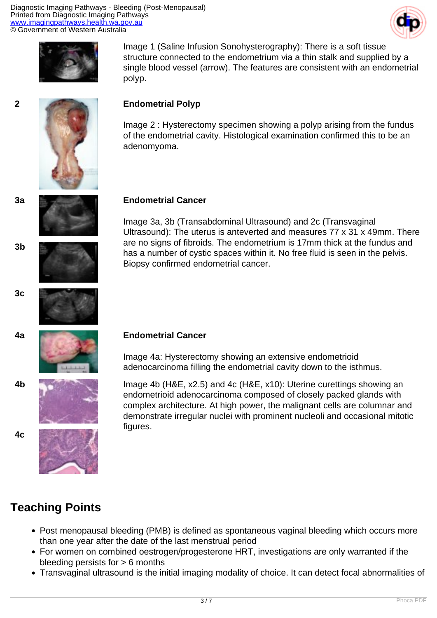Diagnostic Imaging Pathways - Bleeding (Post-Menopausal) Printed from Diagnostic Imaging Pathways [www.imagingpathways.health.wa.gov.au](http://www.imagingpathways.health.wa.gov.au/) © Government of Western Australia





Image 1 (Saline Infusion Sonohysterography): There is a soft tissue structure connected to the endometrium via a thin stalk and supplied by a single blood vessel (arrow). The features are consistent with an endometrial polyp.

#### **2 Endometrial Polyp**

Image 2 : Hysterectomy specimen showing a polyp arising from the fundus of the endometrial cavity. Histological examination confirmed this to be an adenomyoma.

#### **3a Endometrial Cancer**

Image 3a, 3b (Transabdominal Ultrasound) and 2c (Transvaginal Ultrasound): The uterus is anteverted and measures 77 x 31 x 49mm. There are no signs of fibroids. The endometrium is 17mm thick at the fundus and has a number of cystic spaces within it. No free fluid is seen in the pelvis. Biopsy confirmed endometrial cancer.



**3b**

**3c**

**4c**

#### **4a Endometrial Cancer**

Image 4a: Hysterectomy showing an extensive endometrioid adenocarcinoma filling the endometrial cavity down to the isthmus.

**4b** Image 4b (H&E, x2.5) and 4c (H&E, x10): Uterine curettings showing an endometrioid adenocarcinoma composed of closely packed glands with complex architecture. At high power, the malignant cells are columnar and demonstrate irregular nuclei with prominent nucleoli and occasional mitotic figures.

### **Teaching Points**

- Post menopausal bleeding (PMB) is defined as spontaneous vaginal bleeding which occurs more than one year after the date of the last menstrual period
- For women on combined oestrogen/progesterone HRT, investigations are only warranted if the bleeding persists for  $> 6$  months
- Transvaginal ultrasound is the initial imaging modality of choice. It can detect focal abnormalities of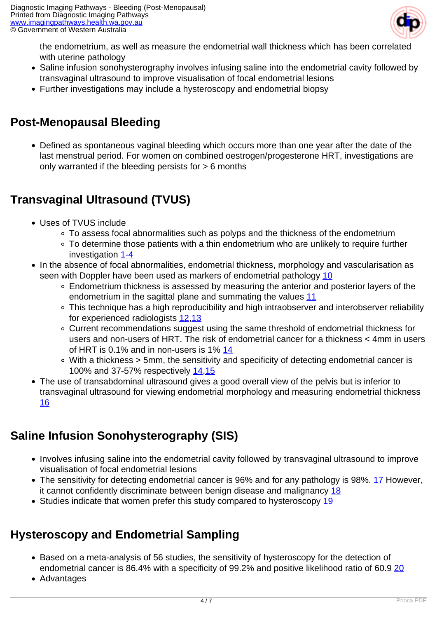

the endometrium, as well as measure the endometrial wall thickness which has been correlated with uterine pathology

- Saline infusion sonohysterography involves infusing saline into the endometrial cavity followed by transvaginal ultrasound to improve visualisation of focal endometrial lesions
- Further investigations may include a hysteroscopy and endometrial biopsy

## **Post-Menopausal Bleeding**

Defined as spontaneous vaginal bleeding which occurs more than one year after the date of the last menstrual period. For women on combined oestrogen/progesterone HRT, investigations are only warranted if the bleeding persists for > 6 months

# **Transvaginal Ultrasound (TVUS)**

- Uses of TVUS include
	- To assess focal abnormalities such as polyps and the thickness of the endometrium
	- To determine those patients with a thin endometrium who are unlikely to require further investigation [1-4](index.php/imaging-pathways/obstetric-gynaecological/post-menopausal-bleeding?tab=References#1)
- In the absence of focal abnormalities, endometrial thickness, morphology and vascularisation as seen with Doppler have been used as markers of endometrial pathology [10](index.php/imaging-pathways/obstetric-gynaecological/post-menopausal-bleeding?tab=References#10)
	- Endometrium thickness is assessed by measuring the anterior and posterior layers of the endometrium in the sagittal plane and summating the values [11](index.php/imaging-pathways/obstetric-gynaecological/post-menopausal-bleeding?tab=References#11)
	- This technique has a high reproducibility and high intraobserver and interobserver reliability for experienced radiologists [12,](index.php/imaging-pathways/obstetric-gynaecological/post-menopausal-bleeding?tab=References#12)[13](index.php/imaging-pathways/obstetric-gynaecological/post-menopausal-bleeding?tab=References#13)
	- Current recommendations suggest using the same threshold of endometrial thickness for users and non-users of HRT. The risk of endometrial cancer for a thickness < 4mm in users of HRT is 0.1% and in non-users is 1% [14](index.php/imaging-pathways/obstetric-gynaecological/post-menopausal-bleeding?tab=References#14)
	- With a thickness > 5mm, the sensitivity and specificity of detecting endometrial cancer is 100% and 37-57% respectively [14](index.php/imaging-pathways/obstetric-gynaecological/post-menopausal-bleeding?tab=References#14),[15](index.php/imaging-pathways/obstetric-gynaecological/post-menopausal-bleeding?tab=References#15)
- The use of transabdominal ultrasound gives a good overall view of the pelvis but is inferior to transvaginal ultrasound for viewing endometrial morphology and measuring endometrial thickness [16](index.php/imaging-pathways/obstetric-gynaecological/post-menopausal-bleeding?tab=References#16)

# **Saline Infusion Sonohysterography (SIS)**

- Involves infusing saline into the endometrial cavity followed by transvaginal ultrasound to improve visualisation of focal endometrial lesions
- The sensitivity for detecting endometrial cancer is 96% and for any pathology is 98%. [17 H](index.php/imaging-pathways/obstetric-gynaecological/post-menopausal-bleeding?tab=References#17)owever, it cannot confidently discriminate between benign disease and malignancy [18](index.php/imaging-pathways/obstetric-gynaecological/post-menopausal-bleeding?tab=References#18)
- Studies indicate that women prefer this study compared to hysteroscopy [19](index.php/imaging-pathways/obstetric-gynaecological/post-menopausal-bleeding?tab=References#19)

# **Hysteroscopy and Endometrial Sampling**

- Based on a meta-analysis of 56 studies, the sensitivity of hysteroscopy for the detection of endometrial cancer is 86.4% with a specificity of 99.2% and positive likelihood ratio of 60.9 [20](index.php/imaging-pathways/obstetric-gynaecological/post-menopausal-bleeding?tab=References#20)
- Advantages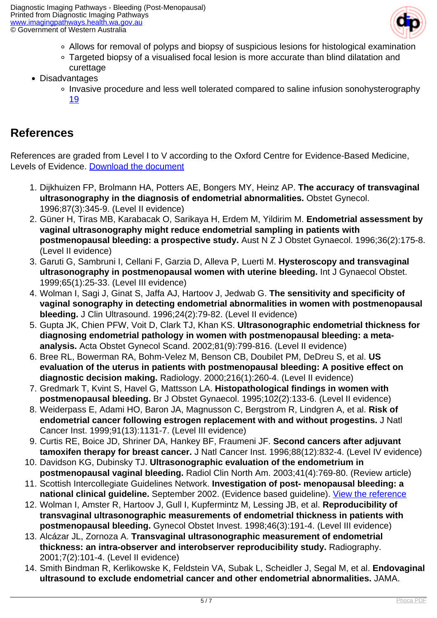

- Allows for removal of polyps and biopsy of suspicious lesions for histological examination
- Targeted biopsy of a visualised focal lesion is more accurate than blind dilatation and curettage
- Disadvantages
	- Invasive procedure and less well tolerated compared to saline infusion sonohysterography [19](index.php/imaging-pathways/obstetric-gynaecological/post-menopausal-bleeding?tab=References#19)

## **References**

References are graded from Level I to V according to the Oxford Centre for Evidence-Based Medicine, Levels of Evidence. [Download the document](http://www.cebm.net/wp-content/uploads/2014/06/CEBM-Levels-of-Evidence-2.1.pdf)

- 1. Dijkhuizen FP, Brolmann HA, Potters AE, Bongers MY, Heinz AP. **The accuracy of transvaginal ultrasonography in the diagnosis of endometrial abnormalities.** Obstet Gynecol. 1996;87(3):345-9. (Level II evidence)
- 2. Güner H, Tiras MB, Karabacak O, Sarikaya H, Erdem M, Yildirim M. **Endometrial assessment by vaginal ultrasonography might reduce endometrial sampling in patients with postmenopausal bleeding: a prospective study.** Aust N Z J Obstet Gynaecol. 1996;36(2):175-8. (Level II evidence)
- 3. Garuti G, Sambruni I, Cellani F, Garzia D, Alleva P, Luerti M. **Hysteroscopy and transvaginal ultrasonography in postmenopausal women with uterine bleeding.** Int J Gynaecol Obstet. 1999;65(1):25-33. (Level III evidence)
- 4. Wolman I, Sagi J, Ginat S, Jaffa AJ, Hartoov J, Jedwab G. **The sensitivity and specificity of vaginal sonography in detecting endometrial abnormalities in women with postmenopausal bleeding.** J Clin Ultrasound. 1996;24(2):79-82. (Level II evidence)
- 5. Gupta JK, Chien PFW, Voit D, Clark TJ, Khan KS. **Ultrasonographic endometrial thickness for diagnosing endometrial pathology in women with postmenopausal bleeding: a metaanalysis.** Acta Obstet Gynecol Scand. 2002;81(9):799-816. (Level II evidence)
- 6. Bree RL, Bowerman RA, Bohm-Velez M, Benson CB, Doubilet PM, DeDreu S, et al. **US evaluation of the uterus in patients with postmenopausal bleeding: A positive effect on diagnostic decision making.** Radiology. 2000;216(1):260-4. (Level II evidence)
- 7. Gredmark T, Kvint S, Havel G, Mattsson LA. **Histopathological findings in women with postmenopausal bleeding.** Br J Obstet Gynaecol. 1995;102(2):133-6. (Level II evidence)
- 8. Weiderpass E, Adami HO, Baron JA, Magnusson C, Bergstrom R, Lindgren A, et al. **Risk of endometrial cancer following estrogen replacement with and without progestins.** J Natl Cancer Inst. 1999;91(13):1131-7. (Level III evidence)
- 9. Curtis RE, Boice JD, Shriner DA, Hankey BF, Fraumeni JF. **Second cancers after adjuvant tamoxifen therapy for breast cancer.** J Natl Cancer Inst. 1996;88(12):832-4. (Level IV evidence)
- 10. Davidson KG, Dubinsky TJ. **Ultrasonographic evaluation of the endometrium in postmenopausal vaginal bleeding.** Radiol Clin North Am. 2003;41(4):769-80. (Review article)
- 11. Scottish Intercollegiate Guidelines Network. **Investigation of post- menopausal bleeding: a national clinical guideline.** September 2002. (Evidence based guideline). [View the reference](http://www.sign.ac.uk)
- 12. Wolman I, Amster R, Hartoov J, Gull I, Kupfermintz M, Lessing JB, et al. **Reproducibility of transvaginal ultrasonographic measurements of endometrial thickness in patients with postmenopausal bleeding.** Gynecol Obstet Invest. 1998;46(3):191-4. (Level III evidence)
- 13. Alcázar JL, Zornoza A. **Transvaginal ultrasonographic measurement of endometrial thickness: an intra-observer and interobserver reproducibility study.** Radiography. 2001;7(2):101-4. (Level II evidence)
- 14. Smith Bindman R, Kerlikowske K, Feldstein VA, Subak L, Scheidler J, Segal M, et al. **Endovaginal ultrasound to exclude endometrial cancer and other endometrial abnormalities.** JAMA.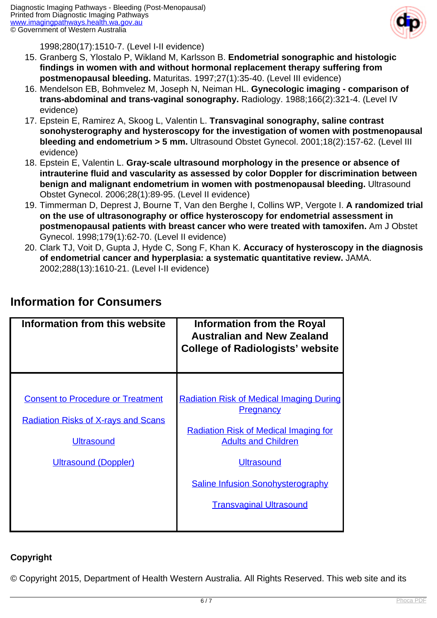

1998;280(17):1510-7. (Level I-II evidence)

- 15. Granberg S, Ylostalo P, Wikland M, Karlsson B. **Endometrial sonographic and histologic findings in women with and without hormonal replacement therapy suffering from postmenopausal bleeding.** Maturitas. 1997;27(1):35-40. (Level III evidence)
- 16. Mendelson EB, Bohmvelez M, Joseph N, Neiman HL. **Gynecologic imaging comparison of trans-abdominal and trans-vaginal sonography.** Radiology. 1988;166(2):321-4. (Level IV evidence)
- 17. Epstein E, Ramirez A, Skoog L, Valentin L. **Transvaginal sonography, saline contrast sonohysterography and hysteroscopy for the investigation of women with postmenopausal bleeding and endometrium > 5 mm.** Ultrasound Obstet Gynecol. 2001;18(2):157-62. (Level III evidence)
- 18. Epstein E, Valentin L. **Gray-scale ultrasound morphology in the presence or absence of intrauterine fluid and vascularity as assessed by color Doppler for discrimination between benign and malignant endometrium in women with postmenopausal bleeding.** Ultrasound Obstet Gynecol. 2006;28(1):89-95. (Level II evidence)
- 19. Timmerman D, Deprest J, Bourne T, Van den Berghe I, Collins WP, Vergote I. **A randomized trial on the use of ultrasonography or office hysteroscopy for endometrial assessment in postmenopausal patients with breast cancer who were treated with tamoxifen.** Am J Obstet Gynecol. 1998;179(1):62-70. (Level II evidence)
- 20. Clark TJ, Voit D, Gupta J, Hyde C, Song F, Khan K. **Accuracy of hysteroscopy in the diagnosis of endometrial cancer and hyperplasia: a systematic quantitative review.** JAMA. 2002;288(13):1610-21. (Level I-II evidence)

| Information from this website                                                                                                              | <b>Information from the Royal</b><br><b>Australian and New Zealand</b><br><b>College of Radiologists' website</b>                                                                                                                                    |
|--------------------------------------------------------------------------------------------------------------------------------------------|------------------------------------------------------------------------------------------------------------------------------------------------------------------------------------------------------------------------------------------------------|
| <b>Consent to Procedure or Treatment</b><br><b>Radiation Risks of X-rays and Scans</b><br><b>Ultrasound</b><br><b>Ultrasound (Doppler)</b> | <b>Radiation Risk of Medical Imaging During</b><br><b>Pregnancy</b><br><b>Radiation Risk of Medical Imaging for</b><br><b>Adults and Children</b><br><b>Ultrasound</b><br><b>Saline Infusion Sonohysterography</b><br><b>Transvaginal Ultrasound</b> |

## **Information for Consumers**

#### **Copyright**

© Copyright 2015, Department of Health Western Australia. All Rights Reserved. This web site and its